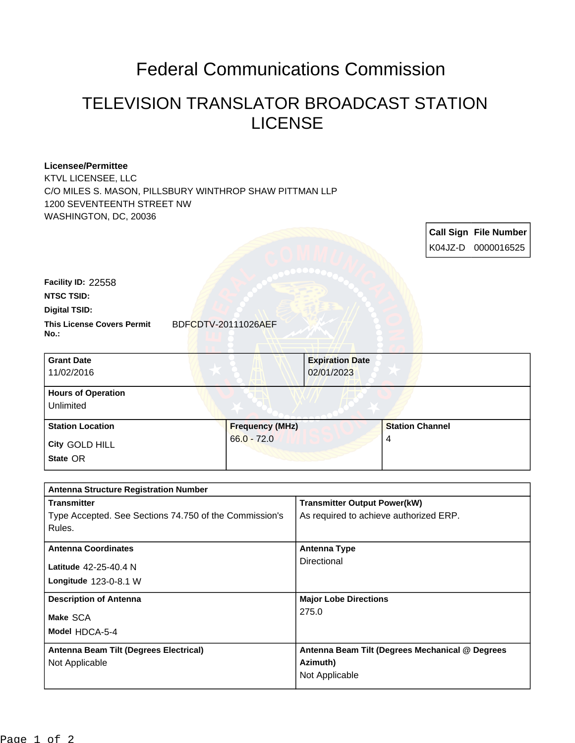## Federal Communications Commission

## TELEVISION TRANSLATOR BROADCAST STATION LICENSE

## **Licensee/Permittee** KTVL LICENSEE, LLC C/O MILES S. MASON, PILLSBURY WINTHROP SHAW PITTMAN LLP 1200 SEVENTEENTH STREET NW WASHINGTON, DC, 20036 **Call Sign File Number** K04JZ-D 0000016525 This License Covers Permit BDFCDTV-20111026AEF **No.: Digital TSID: NTSC TSID: Facility ID:** 22558 **State** OR **City** GOLD HILL **Grant Date** 11/02/2016 **Expiration Date** 02/01/2023 **Hours of Operation** Unlimited **Station Location Figure 1 2 and 5 and 5 and 5 and 5 and 5 and 5 and 5 and 5 and 5 and 5 and 5 and 5 and 5 and 5 and 5 and 5 and 5 and 5 and 5 and 5 and 5 and 5 and 5 and 5 and 5 and 5 and 5 and 5 and 5 and 5 and 5 and 5** 66.0 - 72.0 **Station Channel** 4

| <b>Antenna Structure Registration Number</b>           |                                                 |  |
|--------------------------------------------------------|-------------------------------------------------|--|
| <b>Transmitter</b>                                     | <b>Transmitter Output Power(kW)</b>             |  |
| Type Accepted. See Sections 74.750 of the Commission's | As required to achieve authorized ERP.          |  |
| Rules.                                                 |                                                 |  |
| <b>Antenna Coordinates</b>                             | <b>Antenna Type</b>                             |  |
| Latitude 42-25-40.4 N                                  | Directional                                     |  |
| Longitude $123-0-8.1$ W                                |                                                 |  |
| <b>Description of Antenna</b>                          | <b>Major Lobe Directions</b>                    |  |
| Make SCA                                               | 275.0                                           |  |
| Model HDCA-5-4                                         |                                                 |  |
| Antenna Beam Tilt (Degrees Electrical)                 | Antenna Beam Tilt (Degrees Mechanical @ Degrees |  |
| Not Applicable                                         | Azimuth)                                        |  |
|                                                        | Not Applicable                                  |  |